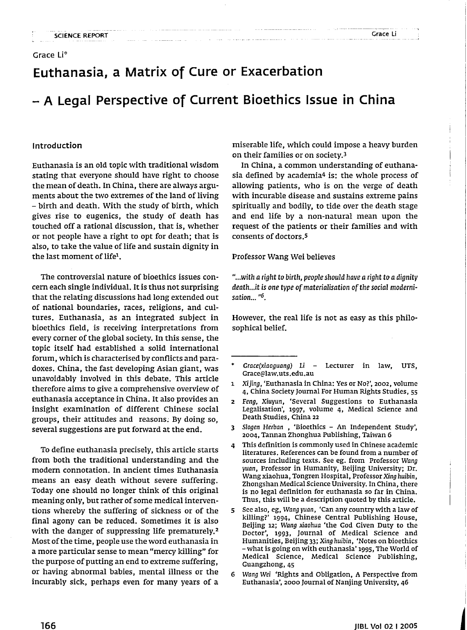# **Euthanasia, a Matrix of Cure or Exacerbation**

# - **A Legal Perspective of Current Bioethics Issue in China**

### Introduction

Euthanasia is an old topic with traditional wisdom stating that everyone should have right to choose the mean of death. In China, there are always arguments about the two extremes of the land of living - birth and death. With the study of birth, which gives rise to eugenics, the study of death has touched off a rational discussion, that is, whether or not people have a right to opt for death; that is also, to take the value of life and sustain dignity in the last moment of life<sup>1</sup>.

The controversial nature of bioethics issues concern each single individual. It is thus not surprising that the relating discussions had long extended out of national boundaries, races, religions, and cultures. Euthanasia, as an integrated subject in bioethics field, is receiving interpretations from every corner of the global society. In this sense, the topic itself had established a solid international forum, which is characterised by conflicts and paradoxes. China, the fast developing Asian giant, was unavoidably involved in this debate. This article therefore aims to give a comprehensive overview of euthanasia acceptance in China. It also provides an insight examination of different Chinese social groups, their attitudes and reasons; By doing so, several suggestions are put forward at the end.

To define euthanasia precisely, this article starts from both the traditional understanding and the modem connotation. In ancient times Euthanasia means an easy death without severe suffering. Today one should no longer think of this original meaning only, but rather of some medical interventions whereby the suffering of sickness or of the final agony can be reduced. Sometimes it is also with the danger of suppressing life prematurely.<sup>2</sup> Most of the time, people use the word euthanasia in a more particular sense to mean "mercy killing" for the purpose of putting an end to extreme suffering, or having abnormal babies, mental illness or the incurably sick, perhaps even for many years of a miserable life, which could impose a heavy burden on their families or on society.<sup>3</sup>

Grace Li

In China, a common understanding of euthanasia defined by academia<sup>4</sup> is: the whole process of allowing patients, who is on the verge of death with incurable disease and sustains extreme pains spiritually and bodily, to tide over the death stage and end life by a non-natural mean upon the request of the patients or their families and with consents of doctors.<sup>5</sup>

#### Professor Wang Wei believes

*"...with aright* to *birth, people should have aright* to *adignity death...it* is one type of materialisation of the social moderni*sation... "6.*

However, the real life is not as easy as this philosophical belief.

Grace(xiaoguang) Li - Lecturer in law, UTS, Grace@law.uts.edu.au

<sup>1</sup> Xijing, 'Euthanasia in China: Yes or No?', 2002, volume 4, China Society Journal For Human Rights Studies, 55

<sup>2</sup> Feng, Xiuyun, 'Several Suggestions to Euthanasia Legalisation', 1997, volume 4, Medical Science and Death Studies, China 22

<sup>3</sup> Slogen Herban , 'Bioethics - An Independent Study', 2004, Tannan Zhonghua Publishing, Taiwan 6

<sup>4</sup> This definition is commonly used in Chinese academic literatures. References can be found from a number of sources including texts. See eg. from Professor Wang yuan, Professor in Humanity, Beijing University; Dr. Wang xiaohua, Tongren Hospital, Professor Xing huibin, Zhongshan Medical Science University. In China, there is no legal definition for euthanasia so far in China. Thus, this will be a description quoted by this article.

<sup>5</sup> See also, eg, Wang yuan, 'Can any country with a law of killing?' 1994, Chinese Central Publishing House, Beijing 12; Wang xiaohua 'the God Given Duty to the Doctor', 1993, Journal of Medical Science and Humanities, Beijing 33; Xing huibin, 'Notes on bioethics - what is going on with euthanasia' 1995, The World of Medical Science, Medical Science Publishing, Guangzhong,45

<sup>6</sup> Wang Wei 'Rights and Obligation, A Perspective from Euthanasia', 2000 Journal of Nanjing University, 46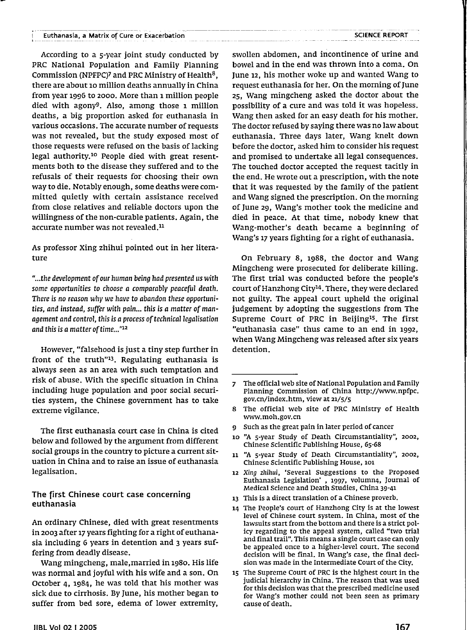According to a s-year joint study conducted by PRC National Population and Family Planning Commission (NPFPC)7 and PRC Ministry of Health8, there are about 10 million deaths annually in China from year 1996 to 2000. More than 1 million people died with agony9. Also, among those <sup>1</sup> million deaths, a big proportion asked for euthanasia in various occasions. The accurate number of requests was not revealed, but the study exposed most of those requests were refused on the basis of lacking legal authority.<sup>10</sup> People died with great resentments both to the disease they suffered and to the refusals of their requests for choosing their own way to die. Notably enough, some deaths were committed quietly with certain assistance received from close relatives and reliable doctors upon the willingness of the non-curable patients. Again, the accurate number was not revealed.<sup>11</sup>

As professor Xing zhihui pointed out in her literature

*.....the development* of*our human being had presented us with some opportunities* to *choose a comparably peaceful death. There* is no *reason why we have* to *abandon these opportunities, and instead, suffer with pain... this* is *a matter* of*management and* control, *this* is *a process oftechnicallegalisation and* this is a matter of time..."<sup>12</sup>

However, "falsehood is just a tiny step further in front of the truth"13. Regulating euthanasia is always seen as an area with such temptation and risk of abuse. With the specific situation in China including huge population and poor social securities system, the Chinese government has to take extreme vigilance.

The first euthanasia court case in China is cited below and followed by the argument from different social groups in the country to picture a current situation in China and to raise an issue of euthanasia legalisation.

# The first Chinese court case concerning euthanasia

An ordinary Chinese, died with great resentments in 2003 after 17 years fighting for a right of euthanasia including 6 years in detention and 3 years suffering from deadly disease.

Wang mingcheng, male,married in 1980. His life was normal and joyful with his wife and a son. On October 4, 1984, he was told that his mother was sick due to cirrhosis. By June, his mother began to suffer from bed sore, edema of lower extremity, swollen abdomen, and incontinence of urine and bowel and in the end was thrown into a coma. On June 12, his mother woke up and wanted Wang to request euthanasia for her. On the morning of June 25, Wang mingcheng asked the doctor about the possibility of a cure and was told it was hopeless. Wang then asked for an easy death for his mother. The doctor refused by saying there was no law about euthanasia. Three days later, Wang knelt down before the doctor, asked him to consider his request and promised to undertake all legal consequences. The touched doctor accepted the request tacitly in the end. He wrote out a prescription, with the note that it was requested by the family of the patient and Wang signed the prescription. On the morning of June 29, Wang's mother took the medicine and died in peace. At that time, nobody knew that Wang-mother's death became a beginning of Wang's 17 years fighting for a right of euthanasia.

On February 8, 1988, the doctor and Wang Mingcheng were prosecuted for deliberate killing. The first trial was conducted before the people's court of Hanzhong City<sup>14</sup>. There, they were declared not guilty. The appeal court upheld the original judgement by adopting the suggestions from The Supreme Court of PRC in Beijing<sup>15</sup>. The first "euthanasia case" thus came to an end in 1992, when Wang Mingcheng was released after six years detention.

- 8 The official web site of PRC Ministry of Health www.moh.gov.cn
- 9 Such as the great pain in later period of cancer
- 10 "A 5-year Study of Death Circumstantiality", 2002, Chinese Scientific Publishing House, 65-68
- <sup>11</sup> "A 5-year Study of Death Circumstantiality", 2002, Chinese Scientific Publishing House, 101
- 12 Xing zhihui, 'Several suggestions to the Proposed Euthanasia Legislation', 1997, volumn4, Journal of Medical Science and Death Studies, China 39-41
- 13 This is a direct translation of a Chinese proverb.
- 14 The People's court of Hanzhong City is at the lowest level of Chinese court system. In China, most of the lawsuits start from the bottom and there is a strict policy regarding to the appeal system, called "two trial and final trail". This means a single court case can only be appealed once to a higher-level court. The second decision will be final. In Wang's case, the final decision was made in the Intermediate Court of the City.
- 15 The Supreme Court of PRC is the highest court in the judicial hierarchy in China. The reason that was used for this decision was that the prescribed medicine used for Wang's mother could not been seen as primary cause of death.

<sup>7</sup> The official web site of National Population and Family Planning Commission of China http://www.npfpc. gov.cn/index.htm, view at 21/5/5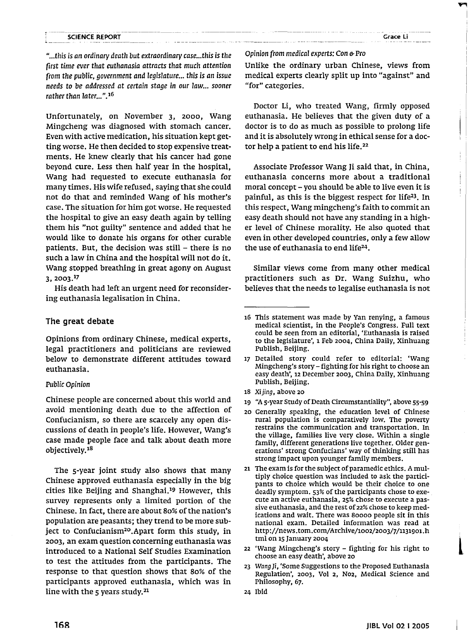*"...this is* an ordinary *death but extraordinary case...this is the first time ever that euthanasia attracts that much attention (rom the public, government and legislature... this is* an *issue needs* to *be addressed* at *certain stage* in *our law... sooner rather than later...".*<sup>16</sup>

Unfortunately, on November 3, 2000, Wang Mingcheng was diagnosed with stomach cancer. Even with active medication, his situation kept getting worse. He then decided to stop expensive treatments. He knew clearly that his cancer had gone beyond cure. Less then half year in the hospital, Wang had requested to execute euthanasia for many times. His wife refused, saying that she could not do that and reminded Wang of his mother's case. The situation for him got worse. He requested the hospital to give an easy death again by telling them his "not guilty" sentence and added that he would like to donate his organs for other curable patients. But, the decision was still  $-$  there is no such a law in China and the hospital will not do it. Wang stopped breathing in great agony on August 3,2003.17

His death had left an urgent need for reconsidering euthanasia legalisation in China.

# **The great debate**

Opinions from ordinary Chinese, medical experts, legal practitioners and politicians are reviewed below to demonstrate different attitudes toward euthanasia.

### *Public* Opinion

Chinese people are concerned about this world and avoid mentioning death due to the affection of Confucianism, so there are scarcely any open discussions of death in people's life. However, Wang's case made people face and talk about death more objectively.<sup>18</sup>

The s-year joint study also shows that many Chinese approved euthanasia especially in the big cities like Beijing and Shanghai.<sup>19</sup> However, this survey represents only a limited portion of the Chinese. In fact, there are about 80% of the nation's population are peasants; they trend to be more subject to Confucianism2°.Apart form this study, in 2003, an exam question concerning euthanasia was introduced to a National Self Studies Examination to test the attitudes from the participants. The response to that question shows that 80% of the participants approved euthanasia, which was in line with the 5 years study.<sup>21</sup>

#### Opinion *(rom medical experts:* Con & Pro

Unlike the ordinary urban Chinese, views from medical experts clearly split up into "against" and "for" categories.

Doctor Li, who treated Wang, firmly opposed euthanasia. He believes that the given duty of a doctor is to do as much as possible to prolong life and it is absolutely wrong in ethical sense for a doctor help a patient to end his life.<sup>22</sup>

Associate Professor Wang Ii said that, in China, euthanasia concerns more about a traditional moral concept - you should be able to live even it is painful, as this is the biggest respect for life23. In this respect, Wang mingcheng's faith to commit an easy death should not have any standing in a higher level of Chinese morality. He also quoted that even in other developed countries, only a few allow the use of euthanasia to end life<sup>24</sup>.

Similar views come from many other medical practitioners such as Dr. Wang Suizhu, who believes that the needs to legalise euthanasia is not

- 18 Xijing, above 20
- 19 "A 5-year Study of Death Circumstantiality", above 55-59
- 20 Generally speaking, the education level of Chinese rural population is comparatively low. The poverty restrains the communication and transportation. In the village, families live very close. Within a single family, different generations live together. Older generations' strong Confucians' way of thinking still has strong impact upon younger family members.
- 21 The exam is for the subject of paramedic ethics. A multiply choice question was included to ask the participants to choice which would be their choice to one deadly symptom. 53% of the participants chose to exe- . cute an active euthanasia, 25% chose to execute a passive euthanasia, and the rest of 22% chose to keep medications and wait. There was 80000 people sit in this national exam. Detailed information was read at http://news.tom.comjArchive/1002/2003/7/1131901.h tml on 15 January 2004
- 22 'Wang Mingcheng's story fighting for his right to choose an easy death', above 20
- 23 Wang Ii, 'Some Suggestions to the Proposed Euthanasia Regulation', 2003, Vol 2, N02, Medical Science and Philosophy, 67.
- 24 Ibid

l.

<sup>16</sup> This statement was made by Van renying, a famous medical scientist, in the People's Congress. Full text could be seen from an editorial, 'Euthanasia is raised to the legislature', 1 Feb 2004, China Daily, Xinhuang Publish, Beijing.

<sup>17</sup> Detailed story could refer to editorial: 'Wang Mingcheng's story - fighting for his right to choose an easy death', 12 December 2003, China Daily, Xinhuang Publish, Beijing.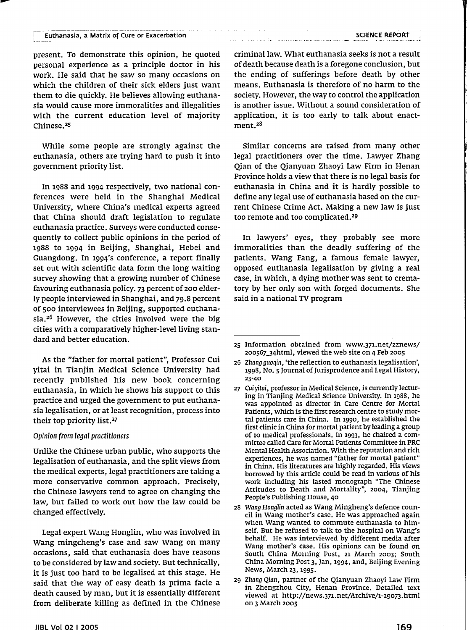present. To demonstrate this opinion, he quoted personal experience as a principle doctor in his work. He said that he saw so many occasions on which the children of their sick elders just want them to die quickly. He believes allowing euthanasia would cause more immoralities and illegalities with the current education level of majority Chinese.<sup>25</sup>

While some people are strongly against the euthanasia, others are trying hard to push it into government priority list.

In 1988 and 1994 respectively, two national conferences were held in the Shanghai Medical University, where China's medical experts agreed that China should draft legislation to regulate euthanasia practice. Surveys were conducted consequently to collect public opinions in the period of 1988 to 1994 in Beijing, Shanghai, Hebei and Cuangdong. In 1994'S conference, a report finally set out with scientific data form the long waiting survey showing that a growing number of Chinese favouring euthanasia policy. 73 percent of 200 elderly people interviewed in Shanghai, and 79.8 percent of 500 interviewees in Beijing, supported euthanasia.<sup>26</sup> However, the cities involved were the big cities with a comparatively higher-level living standard and better education.

As the "father for mortal patient", Professor Cui yitai in Tianjin Medical Science University had recently published his new book concerning euthanasia, in which he shows his support to this practice and urged the government to put euthanasia legalisation, or at least recognition, process into their top priority list.<sup>27</sup>

#### Opinion (rom legal practitioners

Unlike the Chinese urban public, who supports the legalisation of euthanasia, and the split views from the medical experts, legal practitioners are taking a more conservative common approach. Precisely, the Chinese lawyers tend to agree on changing the law, but failed to work out how the law could be changed effectively.

Legal expert Wang Honglin, who was involved in Wang mingcheng's case and saw Wang on many occasions, said that euthanasia does have reasons to be considered by law and society. But technically, it is just too hard to be legalised at this stage. He said that the way of easy death is prima facie a death caused by man, but it is essentially different from deliberate killing as defined in the Chinese

criminal law. What euthanasia seeks is not a result ofdeath because death is a foregone conclusion, but the ending of sufferings before death by other means. Euthanasia is therefore of no harm to the society. However, the way to control the application is another issue. Without a sound consideration of application, it is too early to talk about enactment.<sup>28</sup>

Similar concerns are raised from many other legal practitioners over the time. Lawyer Zhang Qian of the Qianyuan Zhaoyi Law Firm in Henan Province holds a view that there is no legal basis for euthanasia in China and it is hardly possible to define any legal use of euthanasia based on the current Chinese Crime Act. Making a new law is just too remote and too complicated.<sup>29</sup>

In lawyers' eyes, they probably see more immoralities than the deadly suffering of the patients. Wang Fang, a famous female lawyer, opposed euthanasia legalisation by giving a real case, in Which, a dying mother was sent to crematory by her only son with forged documents. She said in a national TV program

<sup>25</sup> Information obtained from www.371.net/zznews/ 20056734html, viewed the web site on 4 Feb 2005

<sup>26</sup> Zhang guoqin, 'the reflection to euthanasia legalisation', 1998, No. 5 Journal of Jurisprudence and Legal History, 23-40

<sup>27</sup> Cui yitai, professor in Medical Science, is currently lecturing in Tianjing Medical Science University. In 1988, he was appointed as director in Care Centre for Mortal Patients, which is the first research centre to study mortal patients care in China. In 1990, he established the first clinic in China for mortal patient by leading a group of 10 medical professionals. In 1993, he chaired a committee called Care for Mortal Patients Committee in PRC Mental Health Association. With the reputation and rich experiences, he was named "father for mortal patient" in China. His literatures are highly regarded. His views borrowed by this article could be read in various of his work including his lasted monograph "The Chinese Attitudes to Death and Mortality", 2004, Tianjing People's Publishing House, 40

<sup>28</sup> Wang Honglin acted as Wang Mingheng's defence council in Wang mother's case. He was approached again when Wang wanted to commute euthanasia to himself. But he refused to talk to the hospital on Wang's behalf. He was interviewed by different media after Wang mother's case. His opinions can be found on South China Morning Post, 21 March 2003; South China Morning Post 3, Jan, 1994, and, Beijing Evening News, March 23,1995.

<sup>29</sup> Zhang Qian, partner of the Qianyuan Zhaoyi Law Firm in Zhengzhou City, Henan Province. Detailed text viewed at http://news.371.net/Archive/I-29073.html on 3 March 2005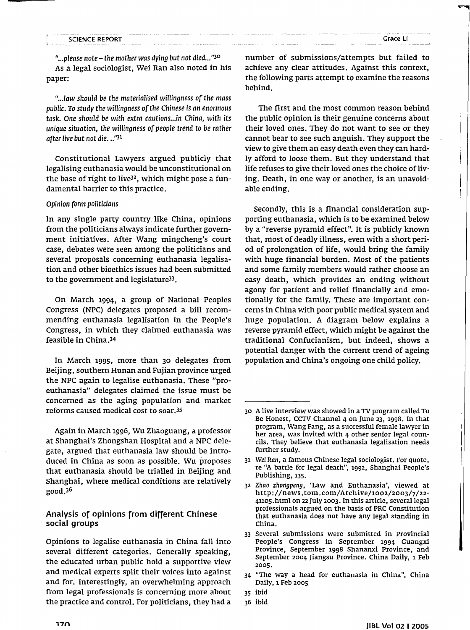*"...please note* - *the mother was dying but not died...''3°* As a legal sociologist, Wei Ran also noted in his paper:

*"...Jaw should be the materialised willingness* of*the mass* public. To *study the willingness* of*the Chinese is an enormous task. One* should *be with extra cautions...in China, with* its *unique situation, the wjJJingness* of *people trend* to *be rather afterlive but not die...''31*

Constitutional Lawyers argued publicly that legalising euthanasia would be unconstitutional on the base of right to live<sup>32</sup>, which might pose a fundamental barrier to this practice.

#### *Opinion form politicians*

In any single party country like China, opinions from the politicians always indicate further government initiatives. After Wang mingcheng's court case, debates were seen among the politicians and several proposals concerning euthanasia legalisation and other bioethics issues had been submitted to the government and legislature<sup>33</sup>.

On March 1994, a group of National Peoples Congress (NPC) delegates proposed a bill recommending euthanasia legalisation in the People's Congress, in which they claimed euthanasia was feasible in China,34

In March 1995, more than 30 delegates from Beijing, southern Hunan and Fujian province urged the NPC again to legalise euthanasia. These "proeuthanasia" delegates claimed the issue must be concerned as the aging population and market reforms caused medical cost to soar,35

Again in March 1996, Wu Zhaoguang, a professor at Shanghai's Zhongshan Hospital and a NPC delegate, argued that euthanasia law should be introduced in China as soon as possible. Wu proposes that euthanasia should be trialled in Beijing and Shanghai, where medical conditions are relatively good,36

# Analysis of opinions from different Chinese social groups

Opinions to legalise euthanasia in China fall into several different categories. Generally speaking, the educated urban public hold a supportive view and medical experts split their voices into against and for. Interestingly, an overwhelming approach from legal professionals is concerning more about the practice and control. For politicians, they had a number of submissions/attempts but failed to achieve any clear attitudes. Against this context, the following parts attempt to examine the reasons behind.

The first and the most common reason behind the public opinion is their genuine concerns about their loved ones. They do not want to see or they cannot bear to see such anguish. They support the view to give them an easy death even they can hardly afford to loose them. But they understand that life refuses to give their loved ones the choice of living. Death, in one way or another, is an unavoidable ending.

Secondly, this is a financial consideration supporting euthanasia, which is to be examined below by a "reverse pyramid effect". It is publicly known that, most of deadly illness, even with a short period of prolongation of life, would bring the family with huge financial burden. Most of the patients and some family members would rather choose an easy death, which provides an ending without agony for patient and relief financially and emotionally for the family. These are important concerns in China with poor public medical system and huge population. A diagram below explains a reverse pyramid effect, which might be against the traditional Confucianism, but indeed, shows a potential danger with the current trend of ageing population and China's ongoing one child policy.

<sup>30</sup> Alive interview was showed in a TV program called To Be Honest, ccrv Channel 4 on June 23, 1998. In that program, Wang Fang, as a successful female lawyer in her area, was invited with 4 other senior legal councils. They believe that euthanasia legalisation needs further study.

<sup>31</sup> Wei Ran, a famous Chinese legal sociologist. For quote, re "A battle for legal death", 1992, Shanghai People's Publishing, 135.

<sup>32</sup> Zhao zhongpeng, 'Law and Euthanasia', viewed at http://news.tom.com/Archive/1002/2003/7/22- 41105.html on 22 July 2003. In this article, several legal professionals argued on the basis of PRC Constitution that euthanasia does not have any legal standing in China.

<sup>33</sup> Several submissions were submitted in Provincial People's Congress in September 1994 Guangxi Province, September 1998 Shananxi Province, and September 2004 Jiangsu Province. China Daily, 1 Feb 2005.

<sup>34</sup> "The way a head for euthanasia in China", China Daily, 1 Feb 2005

<sup>35</sup> ibid

<sup>36</sup> ibid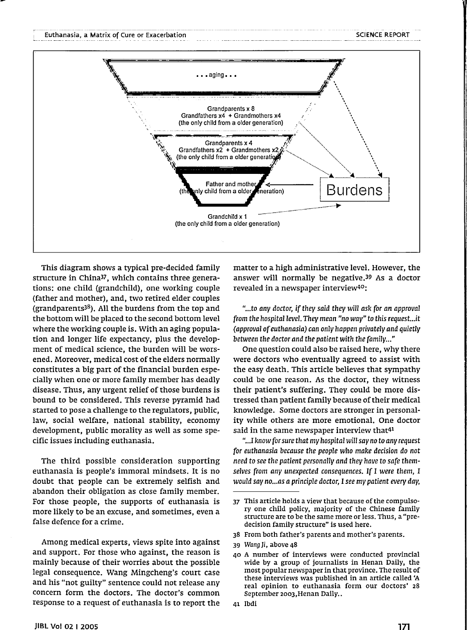

This diagram shows a typical pre-decided family structure in China37, which contains three generations; one child (grandchild), one working couple (father and mother), and, two retired elder couples (grandparents $38$ ). All the burdens from the top and the bottom will be placed to the second bottom level where the working couple is. With an aging population and longer life expectancy, plus the development of medical science, the burden will be worsened. Moreover, medical cost of the elders normally constitutes a big part of the financial burden especially when one or more family member has deadly disease. Thus, any urgent relief of those burdens is bound to be considered. This reverse pyramid had started to pose a challenge to the regulators, public, law, social welfare, national stability, economy development, public morality as well as some specific issues including euthanasia.

The third possible consideration supporting euthanasia is people's immoral mindsets. It is no doubt that people can be extremely selfish and abandon their obligation as close family member. For those people, the supports of euthanasia is more likely to be an excuse, and sometimes, even a false defence for a crime.

Among medical experts, views spite into against and support. For those who against, the reason is mainly because of their worries about the possible legal consequence. Wang Mingcheng's court case and his "not guilty" sentence could not release any concern form the doctors. The doctor's common response to a request of euthanasia is to report the

matter to a high administrative level. However, the answer will normally be negative.39 As a doctor revealed in a newspaper interview40;

*"...to any doctor,* if*they said they* will *ask for an approval from the hospital level. They mean "no way"* to *this request...it (approval* of*euthanasia) can only happen privately and quietly between the doctor and the patient with the family..."*

One question could also be raised here, why there were doctors who eventually agreed to assist with the easy death. This article believes that sympathy could be one reason. As the doctor, they witness their patient's suffering. They could be more distressed than patient family because of their medical knowledge. Some doctors are stronger in personality while others are more emotional. One doctor said in the same newspaper interview that<sup>41</sup>

"...I *know forsure that my hospital* will *say* no to *any request for euthanasia because the people who make decision* do *not need* to *see the patient personally and they have* to *safe themselves from any unexpected consequences.* If I *were them,* I *would say nO...as a principle doctor,* I *see my patient every day,*

41 lbdi

<sup>37</sup> This article holds a view that because of the compulsory one child policy, majority of the Chinese family structure are to be the same more or less. Thus, a "predecision family structure" is used here.

<sup>38</sup> From both father's parents and mother's parents.

<sup>39</sup> Wang Ji, above 48

<sup>40</sup> A number of interviews were conducted provincial wide by a group of journalists in Henan Daily, the most popular newspaper in that province. The result of these interviews was published in an article called 'A real opinion to euthanasia form our doctors' 28 September 2003,Henan Daily..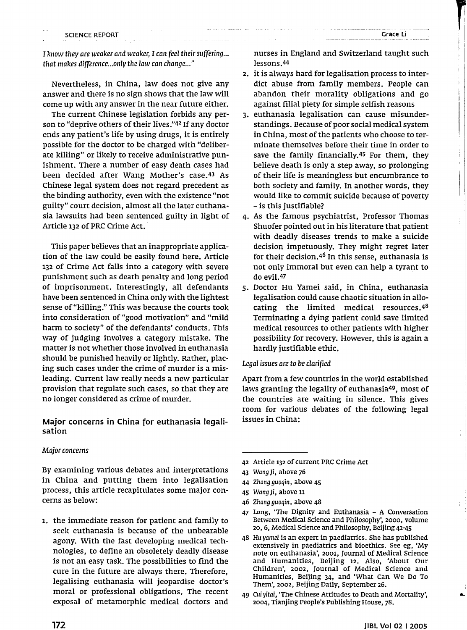I

I *know they are weaker and weaker,* I *can (eel theirsUffering... that makes difference...only the law can change..."*

Nevertheless, in China, law does not give any answer and there is no sign shows that the law will corne up with any answer in the near future either.

The current Chinese legislation forbids any person to "deprive others of their lives."42 If any doctor ends any patient's life by using drugs, it is entirely possible for the doctor to be charged with "deliberate killing" or likely to receive administrative punishment. There a number of easy death cases had been decided after Wang Mother's case.43 As Chinese legal system does not regard precedent as the binding authority, even with the existence "not guilty" court decision, almost all the later euthanasia lawsuits had been sentenced guilty in light of Article 132 of PRC Crime Act.

This paper believes that an inappropriate application of the law could be easily found here. Article 132 of Crime Act falls into a category with severe punishment such as death penalty and long period of imprisonment. Interestingly, all defendants have been sentenced in China only with the lightest sense of "killing." This was because the courts took into consideration of "good motivation" and "mild harm to society" of the defendants' conducts. This way of judging involves a category mistake. The matter is not whether those involved in euthanasia should be punished heavily or lightly. Rather, placing such cases under the crime of murder is a misleading. Current law really needs a new particular provision that regulate such cases, so that they are no longer considered as crime of murder.

Major concerns in China for euthanasia legalisation

#### *Major concerns*

By examining various debates and interpretations in China and putting them into legalisation process, this article recapitulates some major concerns as below:

1. the immediate reason for patient and family to seek euthanasia is because of the unbearable agony. With the fast developing medical technologies, to define an obsoletely deadly disease is not an easy task. The possibilities to find the cure in the future are always there. Therefore, legalising euthanasia will jeopardise doctor's moral or professional obligations. The recent exposal of metamorphic medical doctors and

nurses in England and Switzerland taught such lessons. 44

- 2. it is always hard for legalisation process to interdict abuse from family members. People can abandon their morality obligations and go against filial piety for simple selfish reasons
- 3. euthanasia legalisation can cause misunderstandings. Because of poor social medical system in China, most of the patients who choose to terminate themselves before their time in order to save the family financially.45 For them, they believe death is only a step away, so prolonging of their life is meaningless but encumbrance to both society and family. In another words, they would like to commit suicide because of poverty - is this justifiable?
- 4. As the famous psychiatrist, Professor Thomas Shuofer pointed out in his literature that patient with deadly diseases trends to make a suicide decision impetuously. They might regret later for their decision.46 In this sense, euthanasia is not only immoral but even can help a tyrant to do evil.47
- 5. Doctor Hu Yamei said, in China, euthanasia legalisation could cause chaotic situation in allocating the limited medical resources.48 Terminating a dying patient could save limited medical resources to other patients with higher possibility for recovery. However, this is again a hardly justifiable ethic.

#### *Legal issues are* to be *clarified*

Apart from a few countries in the world established laws granting the legality of euthanasia49, most of the countries are waiting in silence. This gives room for various debates of the following legal issues in China:

- 42 Article 132 of current PRC Crime Act
- 43 WangJi, above 76
- 44 Zhang guoqin, above 45
- 45 Wang Ji, above <sup>11</sup>
- 46 Zhang guoqin, above 48
- 47 Long, 'The Dignity and Euthanasia A Conversation Between Medical Science and Philosophy', 2000, volume 20, 6, Medical Science and Philosophy, Beijing 42-45
- 48 Hu yamei is an expert in paediatrics. She has published extensively in paediatrics and bioethics. See eg, 'My note on euthanasia', 2001, Journal of Medical Science and Humanities, Beijing 12. Also, 'About Our Children', 2002, Journal of Medical Science and Humanities, Beijing 34, and 'What Can We Do To Them', 2002, Beijing Daily, September 26.
- 49 Cui yitai, 'The Chinese Attitudes to Death and Mortality', 2004, Tianjing People's Publishing House, 78.